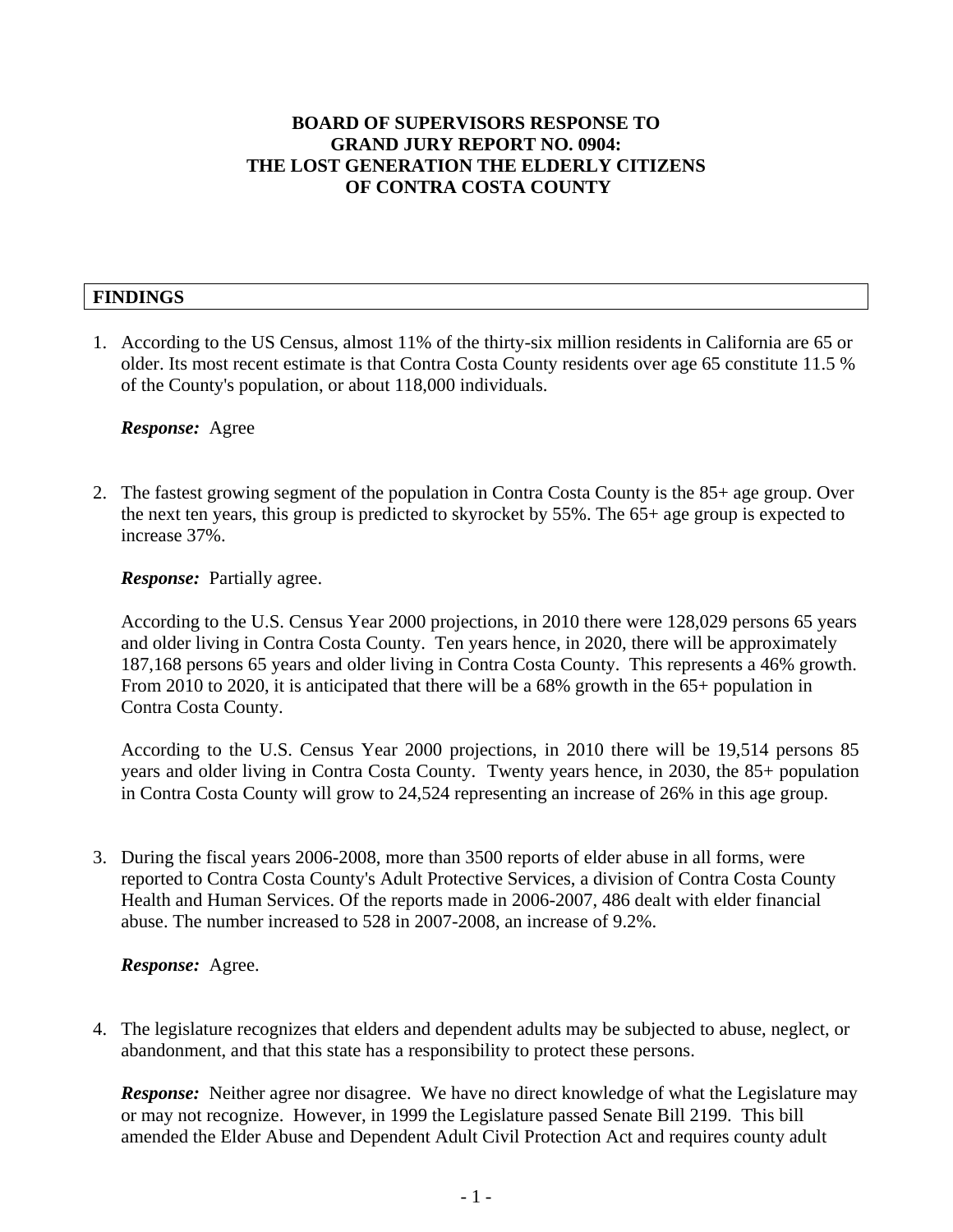# **BOARD OF SUPERVISORS RESPONSE TO GRAND JURY REPORT NO. 0904: THE LOST GENERATION THE ELDERLY CITIZENS OF CONTRA COSTA COUNTY**

### **FINDINGS**

1. According to the US Census, almost 11% of the thirty-six million residents in California are 65 or older. Its most recent estimate is that Contra Costa County residents over age 65 constitute 11.5 % of the County's population, or about 118,000 individuals.

### *Response:* Agree

2. The fastest growing segment of the population in Contra Costa County is the 85+ age group. Over the next ten years, this group is predicted to skyrocket by 55%. The 65+ age group is expected to increase 37%.

### *Response:* Partially agree.

According to the U.S. Census Year 2000 projections, in 2010 there were 128,029 persons 65 years and older living in Contra Costa County. Ten years hence, in 2020, there will be approximately 187,168 persons 65 years and older living in Contra Costa County. This represents a 46% growth. From 2010 to 2020, it is anticipated that there will be a 68% growth in the 65+ population in Contra Costa County.

According to the U.S. Census Year 2000 projections, in 2010 there will be 19,514 persons 85 years and older living in Contra Costa County. Twenty years hence, in 2030, the 85+ population in Contra Costa County will grow to 24,524 representing an increase of 26% in this age group.

3. During the fiscal years 2006-2008, more than 3500 reports of elder abuse in all forms, were reported to Contra Costa County's Adult Protective Services, a division of Contra Costa County Health and Human Services. Of the reports made in 2006-2007, 486 dealt with elder financial abuse. The number increased to 528 in 2007-2008, an increase of 9.2%.

#### *Response:* Agree.

4. The legislature recognizes that elders and dependent adults may be subjected to abuse, neglect, or abandonment, and that this state has a responsibility to protect these persons.

**Response:** Neither agree nor disagree. We have no direct knowledge of what the Legislature may or may not recognize. However, in 1999 the Legislature passed Senate Bill 2199. This bill amended the Elder Abuse and Dependent Adult Civil Protection Act and requires county adult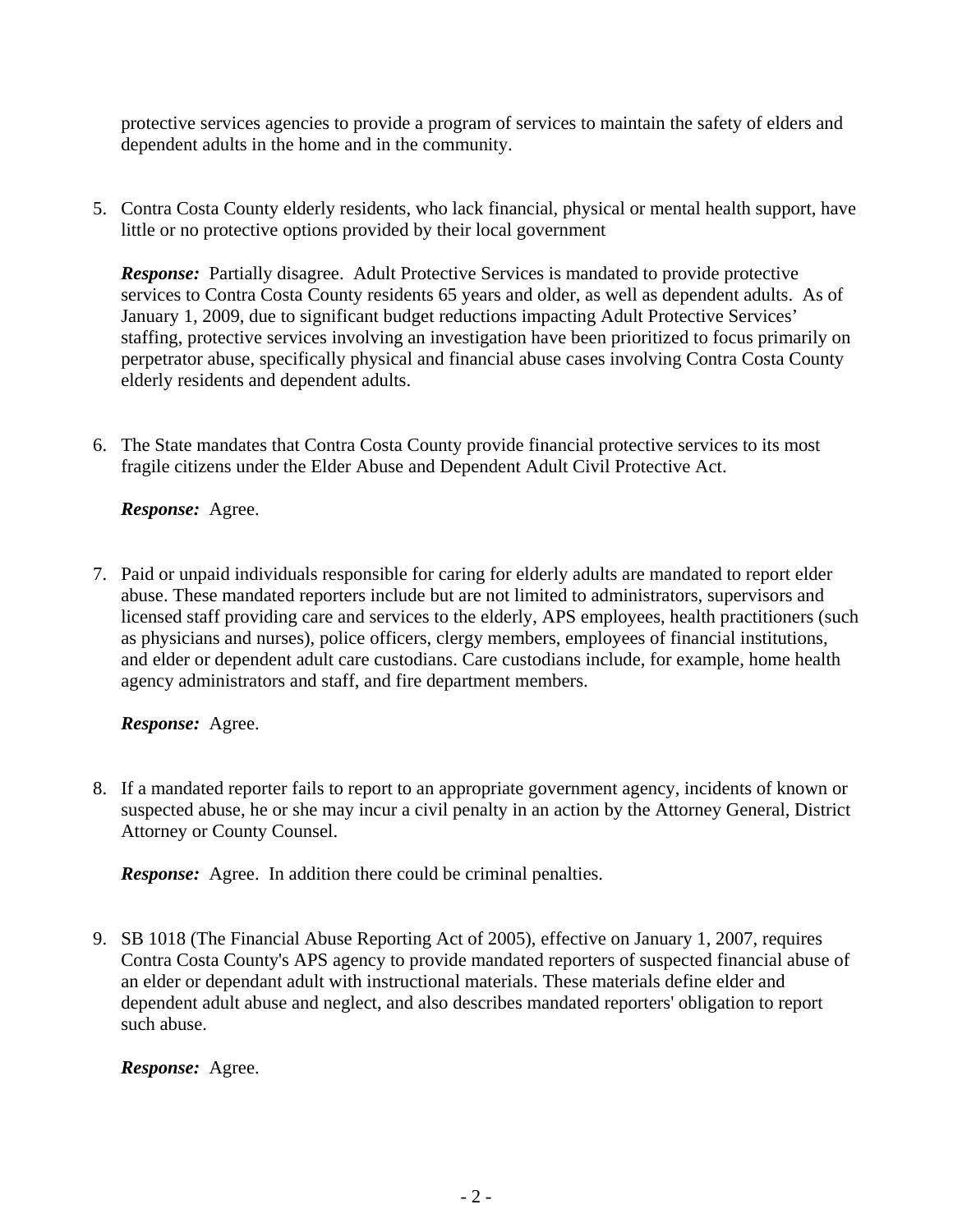protective services agencies to provide a program of services to maintain the safety of elders and dependent adults in the home and in the community.

5. Contra Costa County elderly residents, who lack financial, physical or mental health support, have little or no protective options provided by their local government

**Response:** Partially disagree. Adult Protective Services is mandated to provide protective services to Contra Costa County residents 65 years and older, as well as dependent adults. As of January 1, 2009, due to significant budget reductions impacting Adult Protective Services' staffing, protective services involving an investigation have been prioritized to focus primarily on perpetrator abuse, specifically physical and financial abuse cases involving Contra Costa County elderly residents and dependent adults.

6. The State mandates that Contra Costa County provide financial protective services to its most fragile citizens under the Elder Abuse and Dependent Adult Civil Protective Act.

*Response:* Agree.

7. Paid or unpaid individuals responsible for caring for elderly adults are mandated to report elder abuse. These mandated reporters include but are not limited to administrators, supervisors and licensed staff providing care and services to the elderly, APS employees, health practitioners (such as physicians and nurses), police officers, clergy members, employees of financial institutions, and elder or dependent adult care custodians. Care custodians include, for example, home health agency administrators and staff, and fire department members.

*Response:* Agree.

8. If a mandated reporter fails to report to an appropriate government agency, incidents of known or suspected abuse, he or she may incur a civil penalty in an action by the Attorney General, District Attorney or County Counsel.

*Response:* Agree. In addition there could be criminal penalties.

9. SB 1018 (The Financial Abuse Reporting Act of 2005), effective on January 1, 2007, requires Contra Costa County's APS agency to provide mandated reporters of suspected financial abuse of an elder or dependant adult with instructional materials. These materials define elder and dependent adult abuse and neglect, and also describes mandated reporters' obligation to report such abuse.

# *Response:* Agree.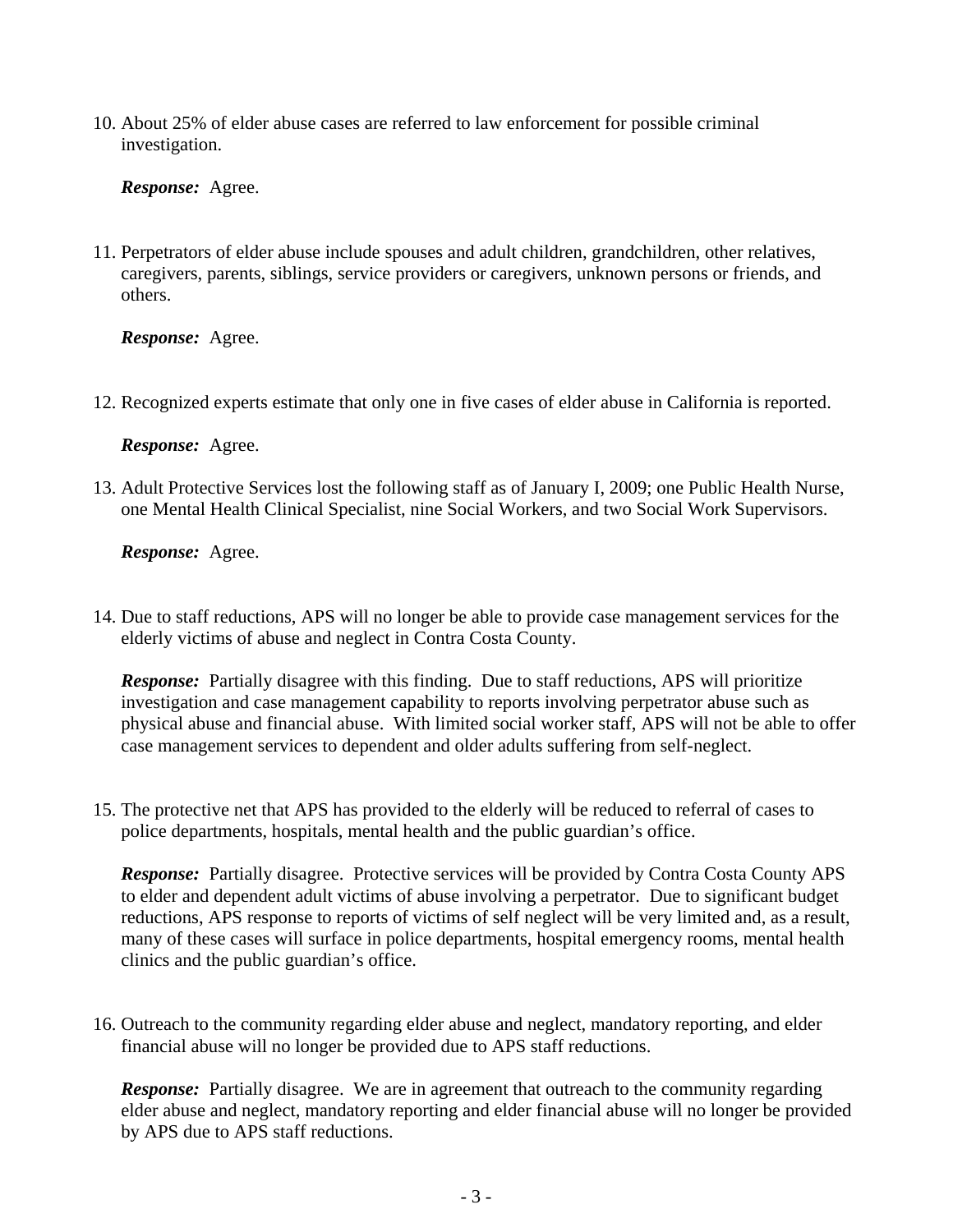10. About 25% of elder abuse cases are referred to law enforcement for possible criminal investigation.

*Response:* Agree.

11. Perpetrators of elder abuse include spouses and adult children, grandchildren, other relatives, caregivers, parents, siblings, service providers or caregivers, unknown persons or friends, and others.

*Response:* Agree.

12. Recognized experts estimate that only one in five cases of elder abuse in California is reported.

*Response:* Agree.

13. Adult Protective Services lost the following staff as of January I, 2009; one Public Health Nurse, one Mental Health Clinical Specialist, nine Social Workers, and two Social Work Supervisors.

*Response:* Agree.

14. Due to staff reductions, APS will no longer be able to provide case management services for the elderly victims of abuse and neglect in Contra Costa County.

**Response:** Partially disagree with this finding. Due to staff reductions, APS will prioritize investigation and case management capability to reports involving perpetrator abuse such as physical abuse and financial abuse. With limited social worker staff, APS will not be able to offer case management services to dependent and older adults suffering from self-neglect.

15. The protective net that APS has provided to the elderly will be reduced to referral of cases to police departments, hospitals, mental health and the public guardian's office.

**Response:** Partially disagree. Protective services will be provided by Contra Costa County APS to elder and dependent adult victims of abuse involving a perpetrator. Due to significant budget reductions, APS response to reports of victims of self neglect will be very limited and, as a result, many of these cases will surface in police departments, hospital emergency rooms, mental health clinics and the public guardian's office.

16. Outreach to the community regarding elder abuse and neglect, mandatory reporting, and elder financial abuse will no longer be provided due to APS staff reductions.

*Response:* Partially disagree. We are in agreement that outreach to the community regarding elder abuse and neglect, mandatory reporting and elder financial abuse will no longer be provided by APS due to APS staff reductions.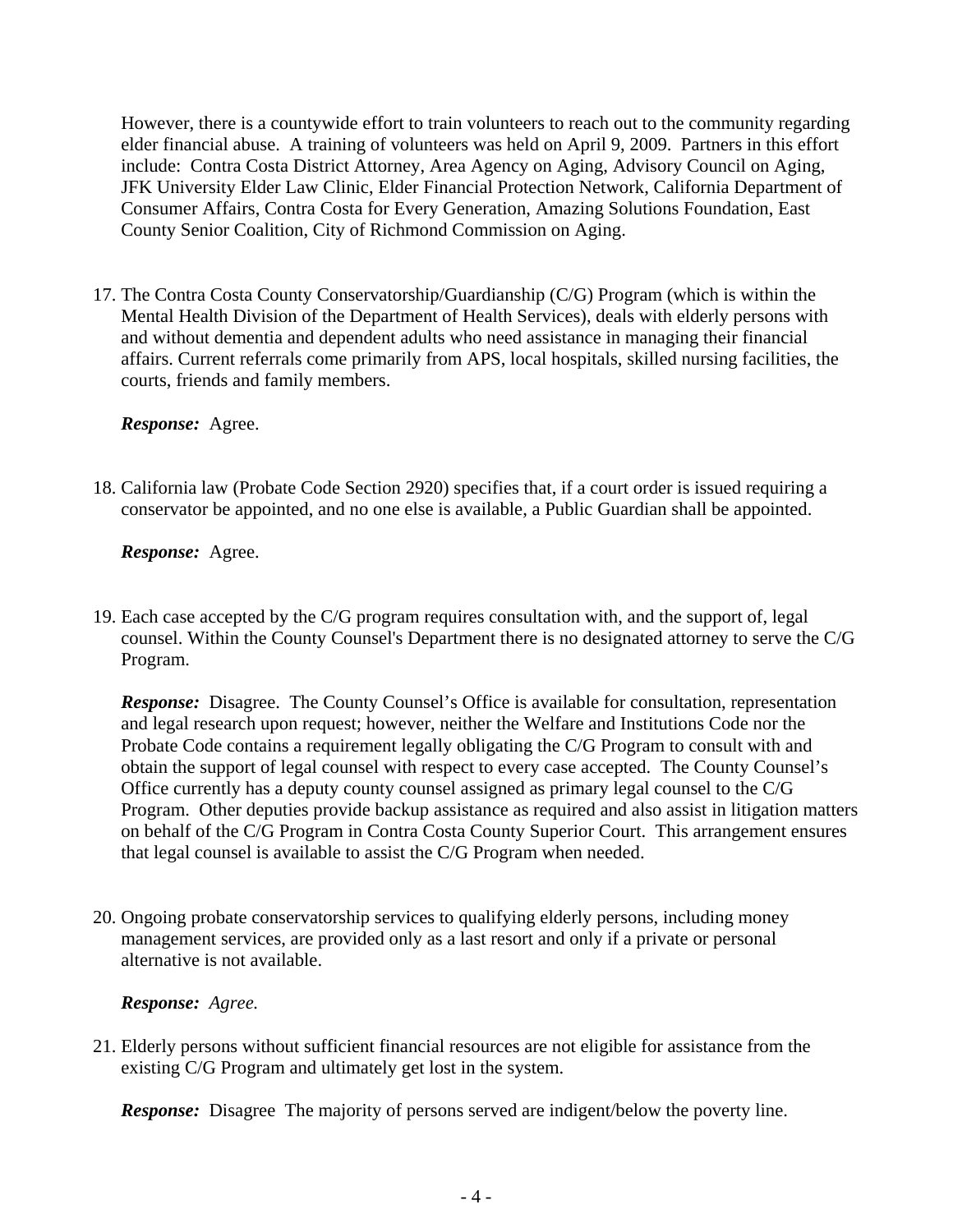However, there is a countywide effort to train volunteers to reach out to the community regarding elder financial abuse. A training of volunteers was held on April 9, 2009. Partners in this effort include: Contra Costa District Attorney, Area Agency on Aging, Advisory Council on Aging, JFK University Elder Law Clinic, Elder Financial Protection Network, California Department of Consumer Affairs, Contra Costa for Every Generation, Amazing Solutions Foundation, East County Senior Coalition, City of Richmond Commission on Aging.

17. The Contra Costa County Conservatorship/Guardianship (C/G) Program (which is within the Mental Health Division of the Department of Health Services), deals with elderly persons with and without dementia and dependent adults who need assistance in managing their financial affairs. Current referrals come primarily from APS, local hospitals, skilled nursing facilities, the courts, friends and family members.

*Response:* Agree.

18. California law (Probate Code Section 2920) specifies that, if a court order is issued requiring a conservator be appointed, and no one else is available, a Public Guardian shall be appointed.

*Response:* Agree.

19. Each case accepted by the C/G program requires consultation with, and the support of, legal counsel. Within the County Counsel's Department there is no designated attorney to serve the C/G Program.

*Response:* Disagree. The County Counsel's Office is available for consultation, representation and legal research upon request; however, neither the Welfare and Institutions Code nor the Probate Code contains a requirement legally obligating the C/G Program to consult with and obtain the support of legal counsel with respect to every case accepted. The County Counsel's Office currently has a deputy county counsel assigned as primary legal counsel to the C/G Program. Other deputies provide backup assistance as required and also assist in litigation matters on behalf of the C/G Program in Contra Costa County Superior Court. This arrangement ensures that legal counsel is available to assist the C/G Program when needed.

20. Ongoing probate conservatorship services to qualifying elderly persons, including money management services, are provided only as a last resort and only if a private or personal alternative is not available.

# *Response: Agree.*

21. Elderly persons without sufficient financial resources are not eligible for assistance from the existing C/G Program and ultimately get lost in the system.

*Response:* Disagree The majority of persons served are indigent/below the poverty line.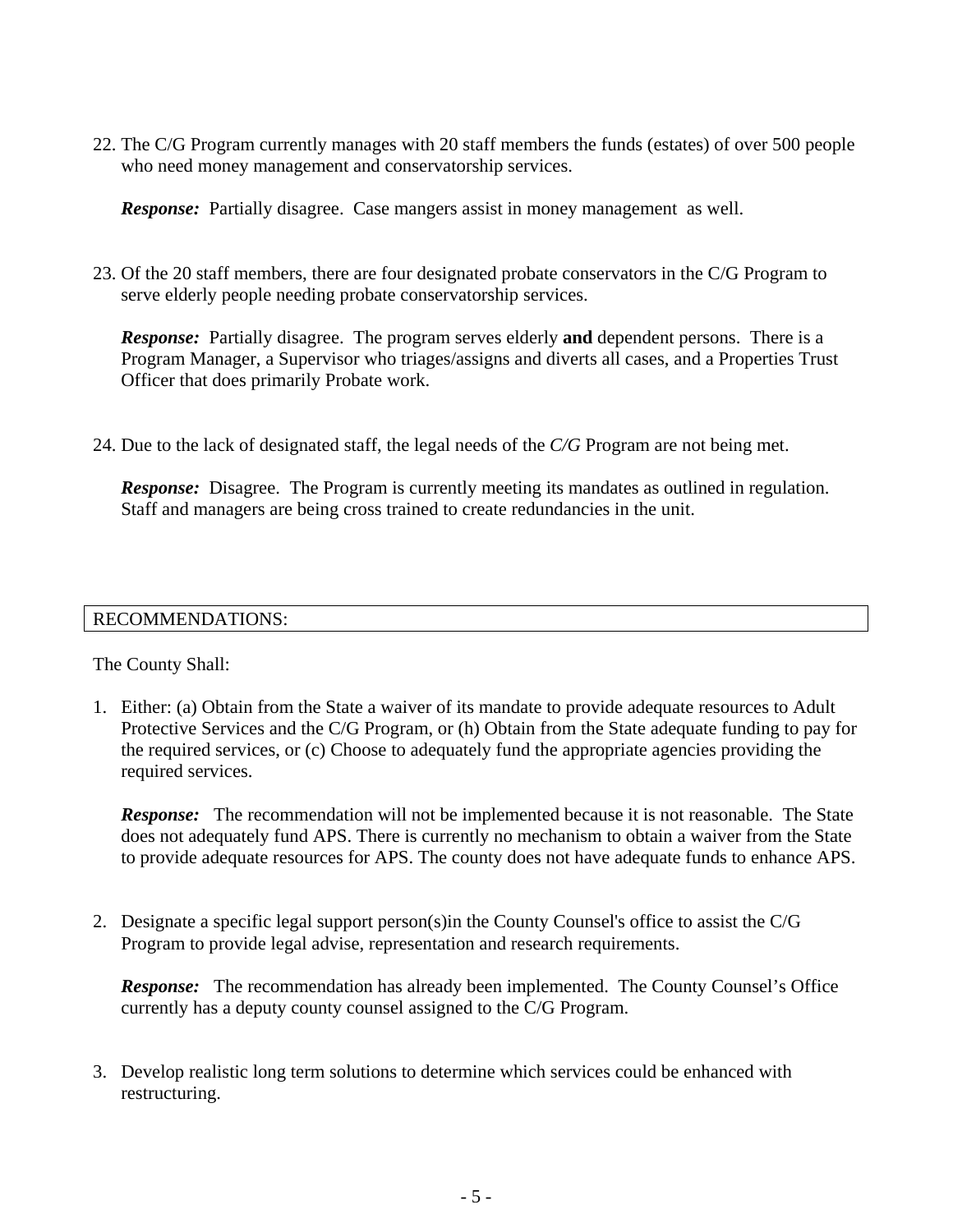22. The C/G Program currently manages with 20 staff members the funds (estates) of over 500 people who need money management and conservatorship services.

*Response:* Partially disagree. Case mangers assist in money management as well.

23. Of the 20 staff members, there are four designated probate conservators in the C/G Program to serve elderly people needing probate conservatorship services.

*Response:* Partially disagree. The program serves elderly **and** dependent persons. There is a Program Manager, a Supervisor who triages/assigns and diverts all cases, and a Properties Trust Officer that does primarily Probate work.

24. Due to the lack of designated staff, the legal needs of the *C/G* Program are not being met.

*Response:* Disagree. The Program is currently meeting its mandates as outlined in regulation. Staff and managers are being cross trained to create redundancies in the unit.

### RECOMMENDATIONS:

The County Shall:

1. Either: (a) Obtain from the State a waiver of its mandate to provide adequate resources to Adult Protective Services and the C/G Program, or (h) Obtain from the State adequate funding to pay for the required services, or (c) Choose to adequately fund the appropriate agencies providing the required services.

**Response:** The recommendation will not be implemented because it is not reasonable. The State does not adequately fund APS. There is currently no mechanism to obtain a waiver from the State to provide adequate resources for APS. The county does not have adequate funds to enhance APS.

2. Designate a specific legal support person(s)in the County Counsel's office to assist the C/G Program to provide legal advise, representation and research requirements.

*Response:* The recommendation has already been implemented. The County Counsel's Office currently has a deputy county counsel assigned to the C/G Program.

3. Develop realistic long term solutions to determine which services could be enhanced with restructuring.